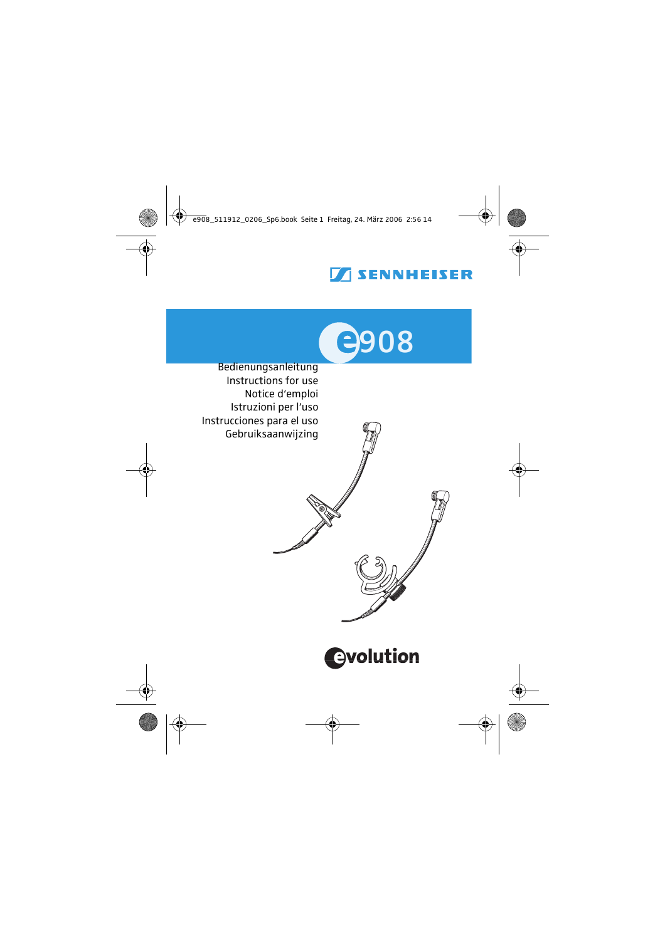# **SENNHEISER**



 Bedienungsanleitung Instructions for use Notice d'emploi Istruzioni per l'uso Instrucciones para el uso Gebruiksaanwijzing

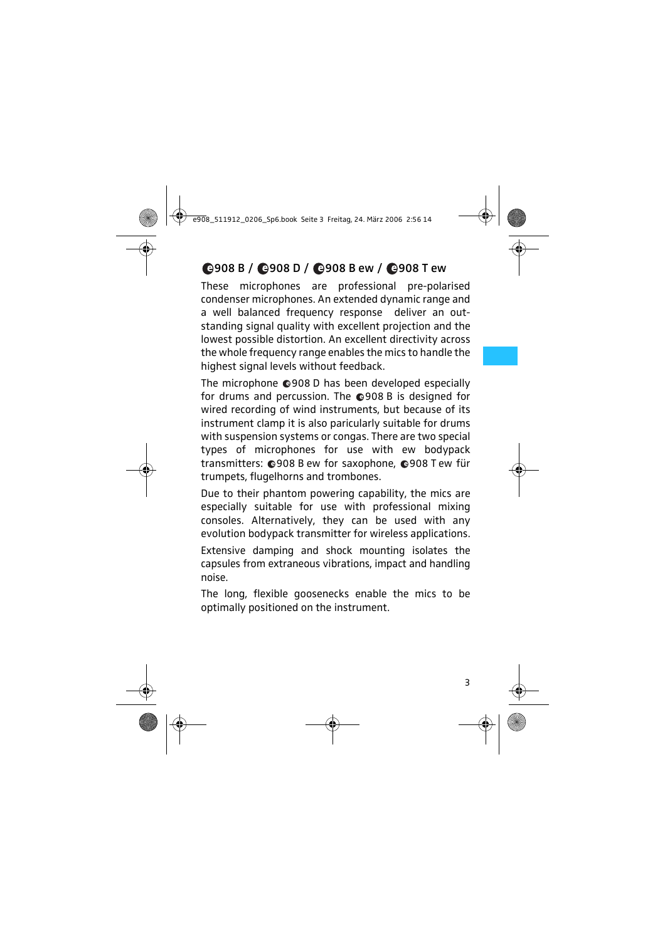# 908 B / 908 D / 908 B ew / 908 T ew

These microphones are professional pre-polarised condenser microphones. An extended dynamic range and a well balanced frequency response deliver an outstanding signal quality with excellent projection and the lowest possible distortion. An excellent directivity across the whole frequency range enables the mics to handle the highest signal levels without feedback.

The microphone @908 D has been developed especially for drums and percussion. The  $Q$ 908 B is designed for wired recording of wind instruments, but because of its instrument clamp it is also paricularly suitable for drums with suspension systems or congas. There are two special types of microphones for use with ew bodypack transmitters: 0908 B ew for saxophone, 0908 T ew für trumpets, flugelhorns and trombones.

Due to their phantom powering capability, the mics are especially suitable for use with professional mixing consoles. Alternatively, they can be used with any evolution bodypack transmitter for wireless applications.

Extensive damping and shock mounting isolates the capsules from extraneous vibrations, impact and handling noise.

The long, flexible goosenecks enable the mics to be optimally positioned on the instrument.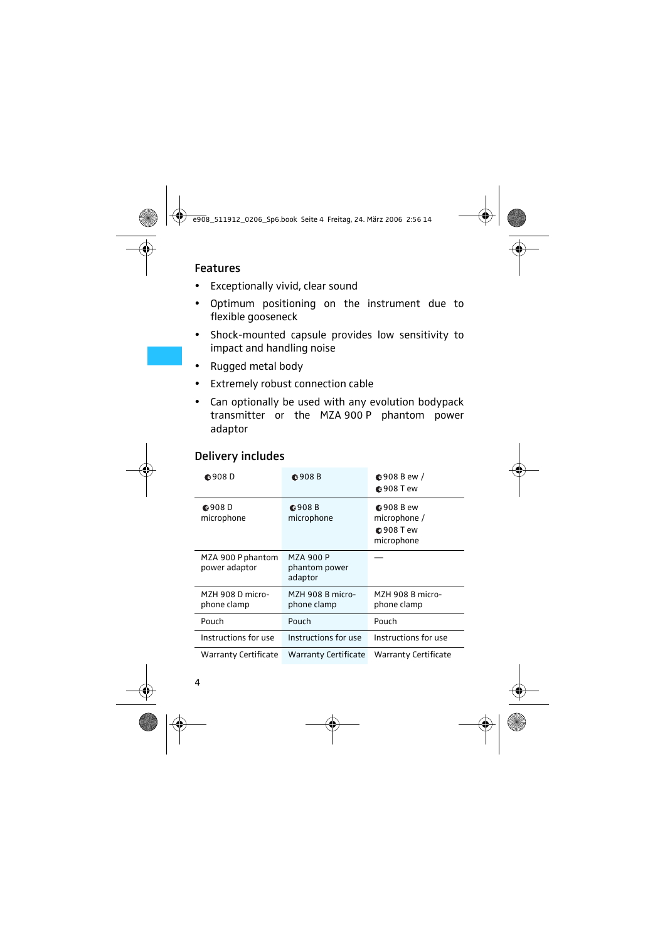## Features

- Exceptionally vivid, clear sound
- Optimum positioning on the instrument due to flexible gooseneck
- Shock-mounted capsule provides low sensitivity to impact and handling noise
- y Rugged metal body
- Extremely robust connection cable
- Can optionally be used with any evolution bodypack transmitter or the MZA 900 P phantom power adaptor

## Delivery includes

| <b>©908D</b>                      | <b>©908B</b>                          | $Q$ 908 B ew /<br><b>◎908 Tew</b>                                 |  |  |  |  |
|-----------------------------------|---------------------------------------|-------------------------------------------------------------------|--|--|--|--|
| <b>@908D</b><br>microphone        | <b>©908B</b><br>microphone            | <b>◎908 B ew</b><br>microphone /<br><b>◎908 Tew</b><br>microphone |  |  |  |  |
| MZA 900 Pphantom<br>power adaptor | MZA 900 P<br>phantom power<br>adaptor |                                                                   |  |  |  |  |
| M7H 908 D micro-<br>phone clamp   | M7H 908 B micro-<br>phone clamp       | M7H 908 B micro-<br>phone clamp                                   |  |  |  |  |
| Pouch                             | Pouch                                 | Pouch                                                             |  |  |  |  |
| Instructions for use              | Instructions for use                  | Instructions for use                                              |  |  |  |  |
| Warranty Certificate              | Warranty Certificate                  | Warranty Certificate                                              |  |  |  |  |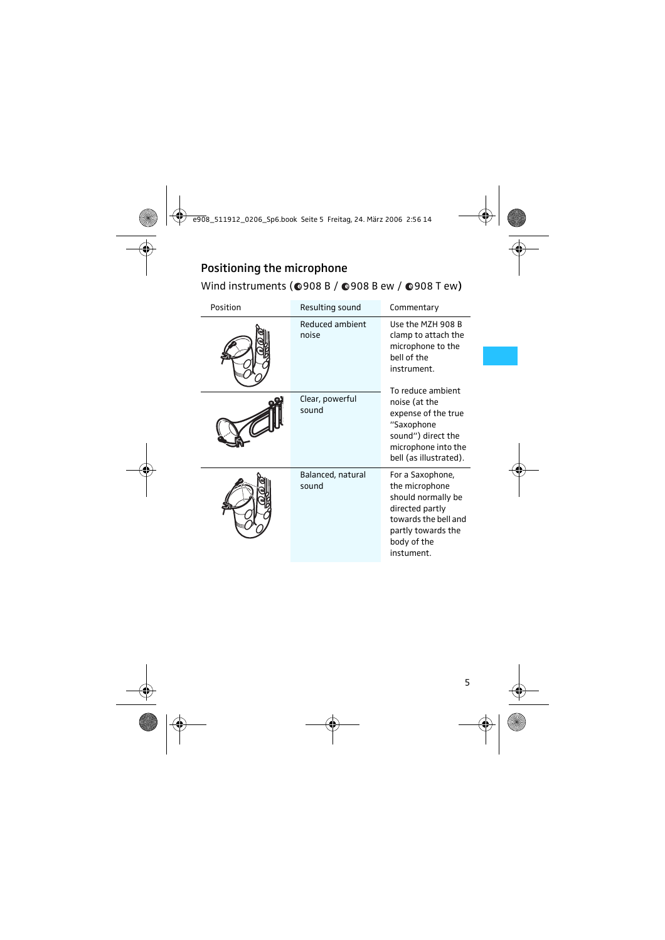# Positioning the microphone Wind instruments ( $Q$ 908 B /  $Q$ 908 B ew /  $Q$ 908 T ew)

| Position | Resulting sound            | Commentary                                                                                                                                             |  |  |  |  |
|----------|----------------------------|--------------------------------------------------------------------------------------------------------------------------------------------------------|--|--|--|--|
|          | Reduced ambient<br>noise   | Use the M7H 908 B<br>clamp to attach the<br>microphone to the<br>hell of the<br>instrument.                                                            |  |  |  |  |
|          | Clear, powerful<br>sound   | To reduce ambient<br>noise (at the<br>expense of the true<br>"Saxophone<br>sound") direct the<br>microphone into the<br>bell (as illustrated).         |  |  |  |  |
|          | Balanced, natural<br>sound | For a Saxophone,<br>the microphone<br>should normally be<br>directed partly<br>towards the bell and<br>partly towards the<br>body of the<br>instument. |  |  |  |  |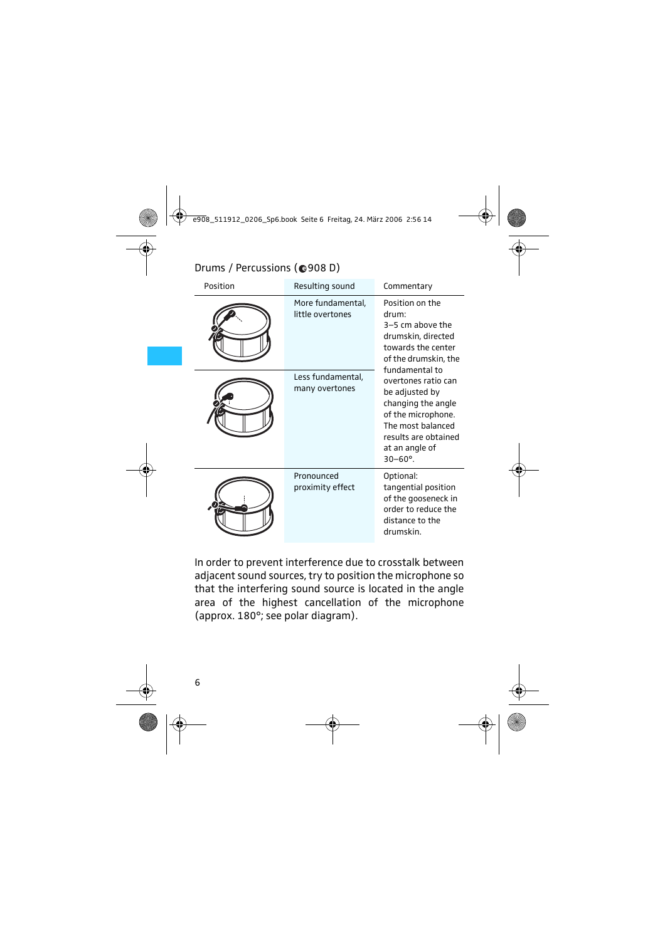| Position | Resulting sound                       | Commentary                                                                                                                                                       |
|----------|---------------------------------------|------------------------------------------------------------------------------------------------------------------------------------------------------------------|
|          | More fundamental,<br>little overtones | Position on the<br>drum:<br>$3-5$ cm above the<br>drumskin, directed<br>towards the center<br>of the drumskin, the<br>fundamental to                             |
|          | Less fundamental,<br>many overtones   | overtones ratio can<br>be adjusted by<br>changing the angle<br>of the microphone.<br>The most balanced<br>results are obtained<br>at an angle of<br>$30 - 60$ °. |
|          | Pronounced<br>proximity effect        | Optional:<br>tangential position<br>of the gooseneck in<br>order to reduce the<br>distance to the<br>drumskin.                                                   |

# Drums / Percussions (@908 D)

In order to prevent interference due to crosstalk between adjacent sound sources, try to position the microphone so that the interfering sound source is located in the angle area of the highest cancellation of the microphone (approx. 180°; see polar diagram).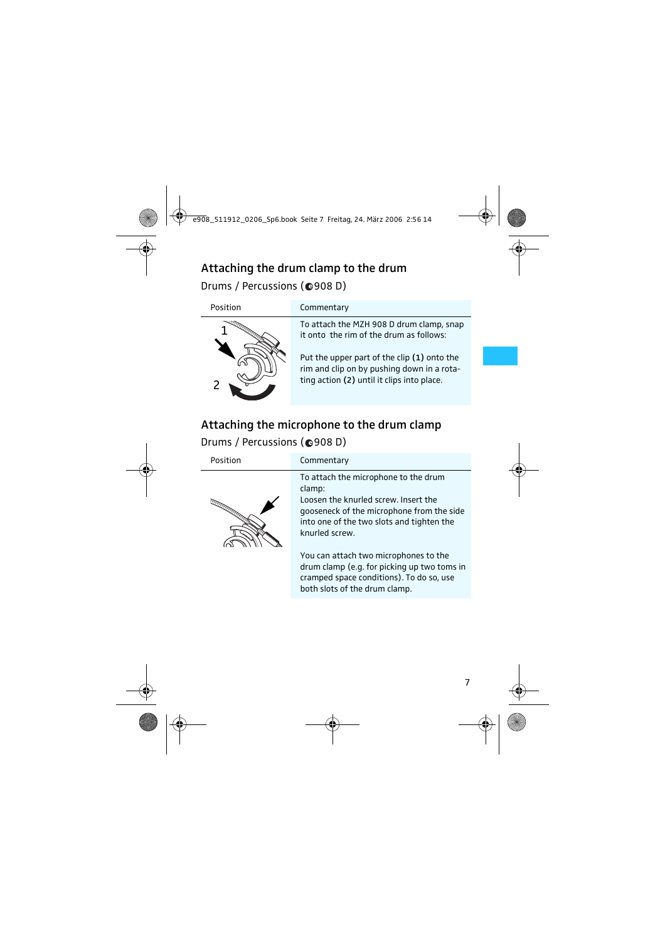# Attaching the drum clamp to the drum Drums / Percussions (@908 D)



#### Position Commentary

To attach the MZH 908 D drum clamp, snap it onto the rim of the drum as follows:

Put the upper part of the clip (1) onto the rim and clip on by pushing down in a rotating action (2) until it clips into place.

# Attaching the microphone to the drum clamp Drums / Percussions (@908 D)

| Position      | Commentary                                                                                                                                                                                         |
|---------------|----------------------------------------------------------------------------------------------------------------------------------------------------------------------------------------------------|
| FFFEEDERATION | To attach the microphone to the drum<br>clamp:<br>Loosen the knurled screw. Insert the<br>gooseneck of the microphone from the side<br>into one of the two slots and tighten the<br>knurled screw. |
|               | You can attach two microphones to the<br>drum clamp (e.g. for picking up two toms in<br>cramped space conditions). To do so, use                                                                   |

both slots of the drum clamp.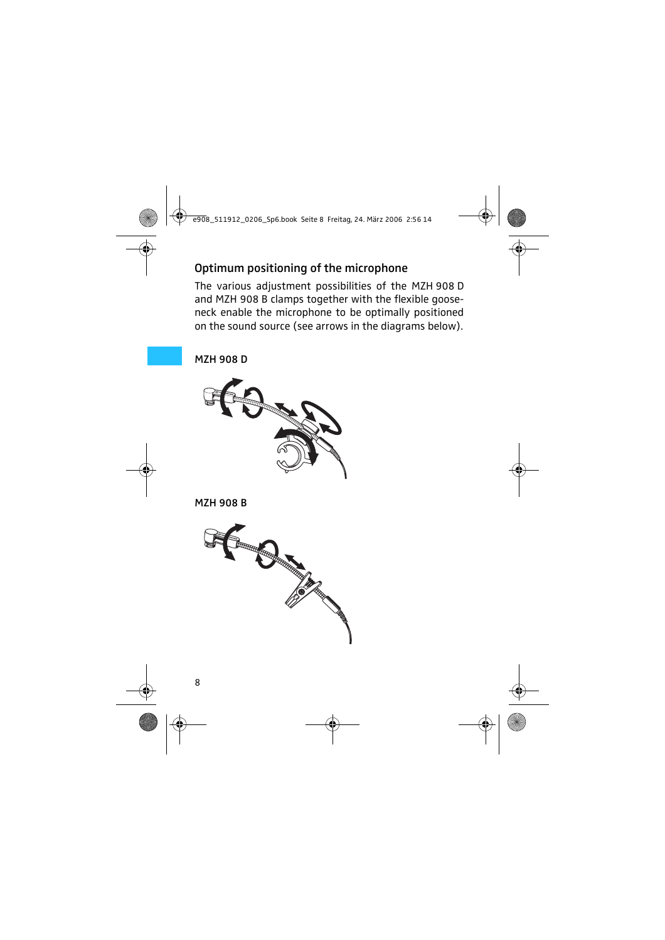# Optimum positioning of the microphone

The various adjustment possibilities of the MZH 908 D and MZH 908 B clamps together with the flexible gooseneck enable the microphone to be optimally positioned on the sound source (see arrows in the diagrams below).

MZH 908 D



MZH 908 B

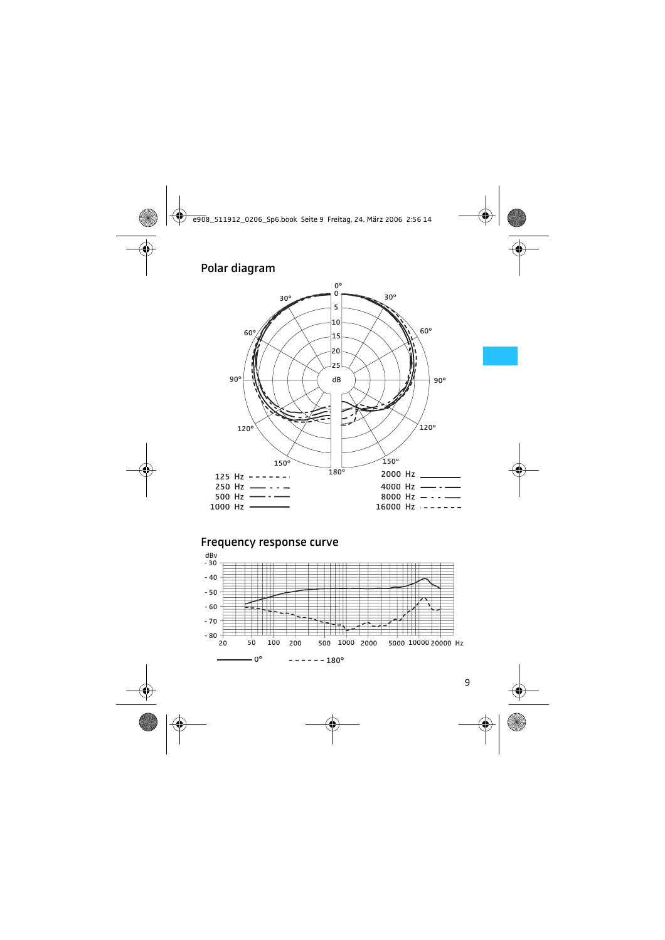## Polar diagram



### Frequency response curve

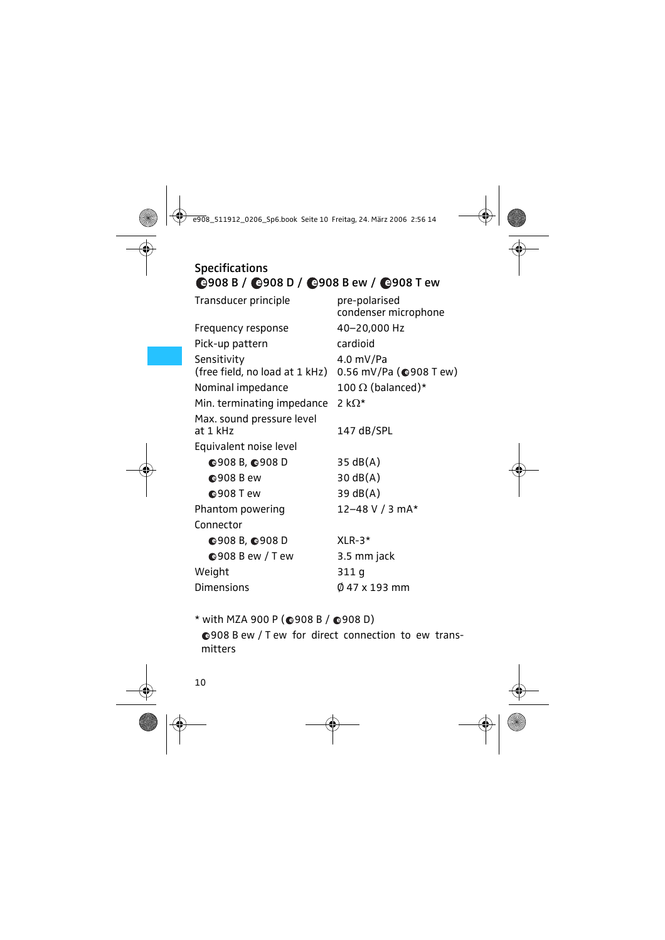# Specifications 908 B / 908 D / 908 B ew / 908 T ew

| Transducer principle           | pre-polarised<br>condenser microphone |
|--------------------------------|---------------------------------------|
| Frequency response             | 40-20,000 Hz                          |
| Pick-up pattern                | cardioid                              |
| Sensitivity                    | 4.0 mV/Pa                             |
| (free field, no load at 1 kHz) | 0.56 mV/Pa $($ @908 T ew)             |
| Nominal impedance              | 100 $\Omega$ (balanced)*              |
| Min. terminating impedance     | 2 k $\Omega^*$                        |
| Max. sound pressure level      |                                       |
| at 1 kHz                       | 147 dB/SPL                            |
| Equivalent noise level         |                                       |
| <b>©908 B, ©908 D</b>          | $35 \text{ dB}(A)$                    |
| <b>◎908 B ew</b>               | $30 \text{ dB}(A)$                    |
| <b>©908 Tew</b>                | 39 dB(A)                              |
| Phantom powering               | 12–48 V / 3 mA*                       |
| Connector                      |                                       |
| Q908B, Q908D                   | $XI R-3*$                             |
| $Q$ 908 B ew / T ew            | 3.5 mm jack                           |
| Weight                         | 311 q                                 |
| <b>Dimensions</b>              | 0 47 x 193 mm                         |

\* with MZA 900 P ( $\bigcirc$ 908 B /  $\bigcirc$ 908 D) 908 B ew / T ew for direct connection to ew transmitters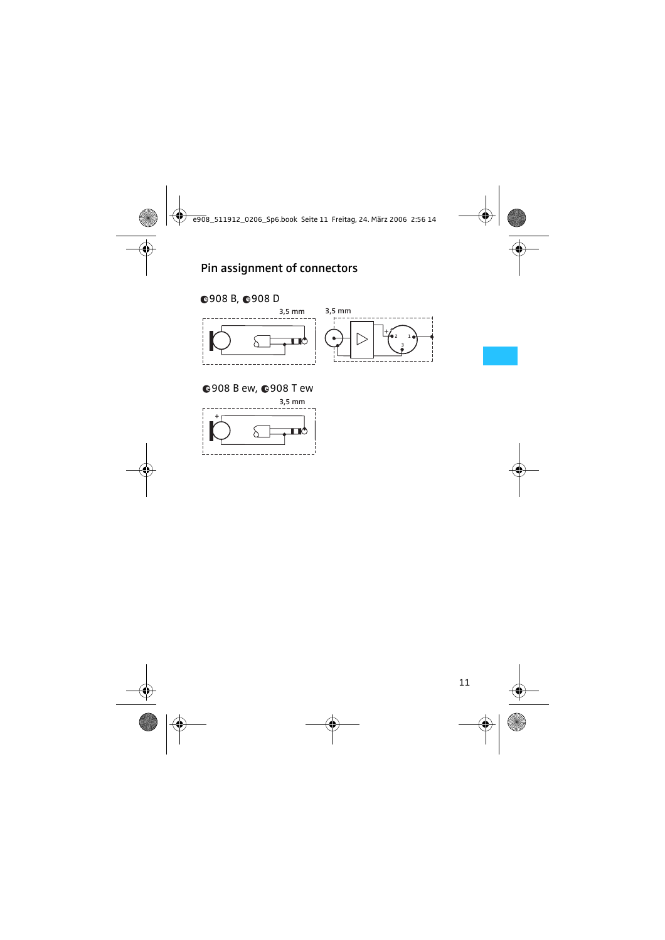# Pin assignment of connectors

## 908 B, 908 D



#### **@908 B ew, @908 T ew**

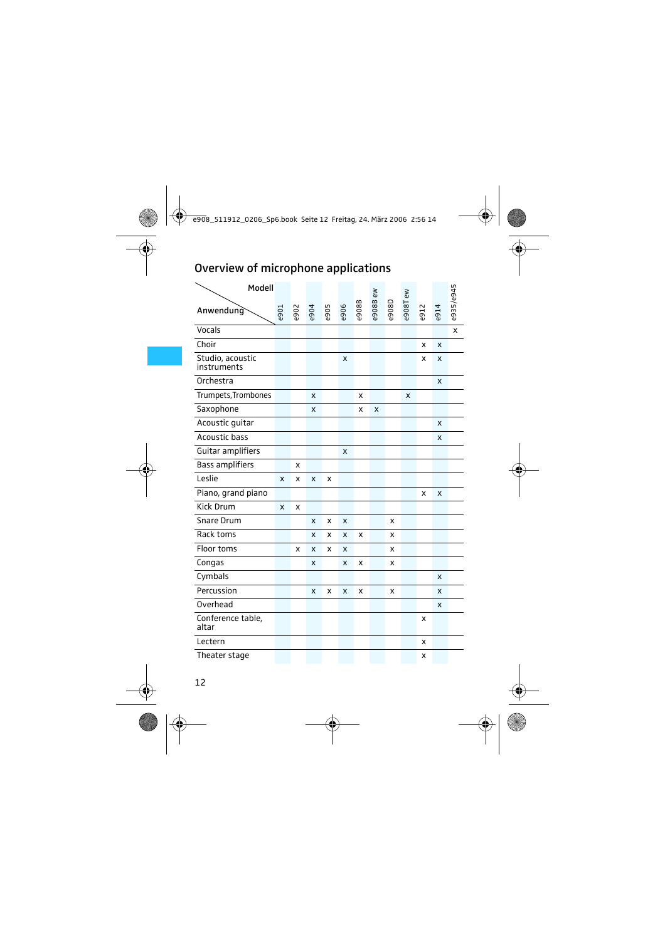# Overview of microphone applications

| Modell                          |      |      |      |      |      |       |          |              |         |      |      |              |
|---------------------------------|------|------|------|------|------|-------|----------|--------------|---------|------|------|--------------|
| Anwendung                       | e901 | e902 | e904 | e905 | e906 | e908B | e908B ew | <b>G806a</b> | e908Tew | e912 | e914 | e935/e945    |
| Vocals                          |      |      |      |      |      |       |          |              |         |      |      | $\mathsf{x}$ |
| Choir                           |      |      |      |      |      |       |          |              |         | X    | X    |              |
| Studio, acoustic<br>instruments |      |      |      |      | X    |       |          |              |         | X    | x    |              |
| Orchestra                       |      |      |      |      |      |       |          |              |         |      | X    |              |
| Trumpets, Trombones             |      |      | X    |      |      | x     |          |              | x       |      |      |              |
| Saxophone                       |      |      | X    |      |      | x     | X        |              |         |      |      |              |
| Acoustic guitar                 |      |      |      |      |      |       |          |              |         |      | x    |              |
| Acoustic bass                   |      |      |      |      |      |       |          |              |         |      | X    |              |
| Guitar amplifiers               |      |      |      |      | X    |       |          |              |         |      |      |              |
| <b>Bass amplifiers</b>          |      | x    |      |      |      |       |          |              |         |      |      |              |
| Leslie                          | X    | x    | X    | x    |      |       |          |              |         |      |      |              |
| Piano, grand piano              |      |      |      |      |      |       |          |              |         | X    | X    |              |
| <b>Kick Drum</b>                | X    | X    |      |      |      |       |          |              |         |      |      |              |
| <b>Snare Drum</b>               |      |      | X    | x    | X    |       |          | x            |         |      |      |              |
| Rack toms                       |      |      | X    | x    | X    | x     |          | x            |         |      |      |              |
| Floor toms                      |      | x    | X    | x    | X    |       |          | x            |         |      |      |              |
| Congas                          |      |      | x    |      | x    | x     |          | X            |         |      |      |              |
| Cymbals                         |      |      |      |      |      |       |          |              |         |      | X    |              |
| Percussion                      |      |      | X    | x    | X    | X     |          | x            |         |      | x    |              |
| Overhead                        |      |      |      |      |      |       |          |              |         |      | x    |              |
| Conference table,<br>altar      |      |      |      |      |      |       |          |              |         | x    |      |              |
| Lectern                         |      |      |      |      |      |       |          |              |         | x    |      |              |
| Theater stage                   |      |      |      |      |      |       |          |              |         | x    |      |              |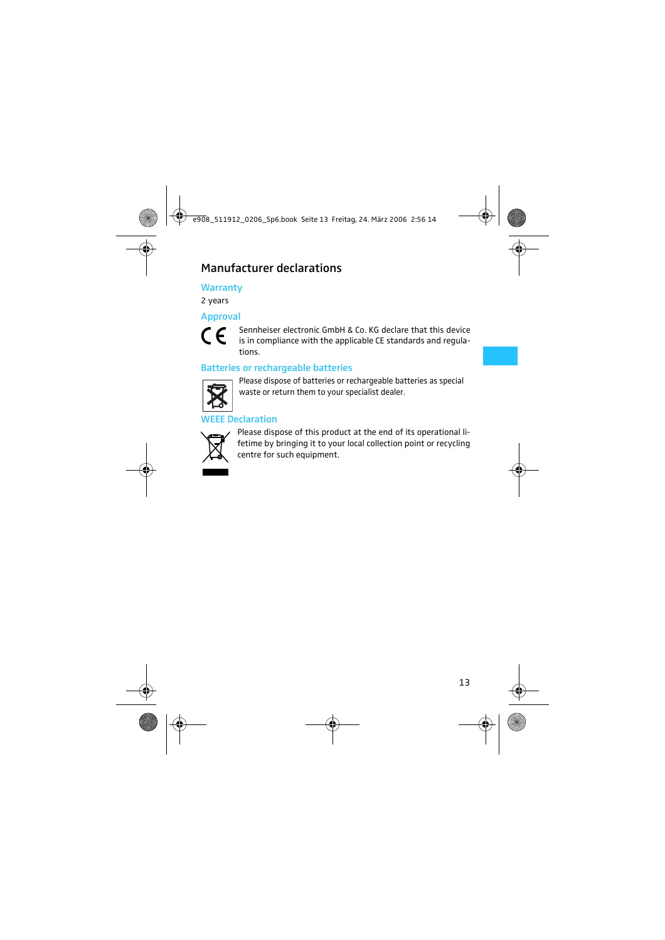# Manufacturer declarations

#### **Warranty**

2 years

#### Approval



Sennheiser electronic GmbH & Co. KG declare that this device is in compliance with the applicable CE standards and regulations.

#### Batteries or rechargeable batteries



Please dispose of batteries or rechargeable batteries as special waste or return them to your specialist dealer.

#### **FFE Declaration**



Please dispose of this product at the end of its operational lifetime by bringing it to your local collection point or recycling centre for such equipment.